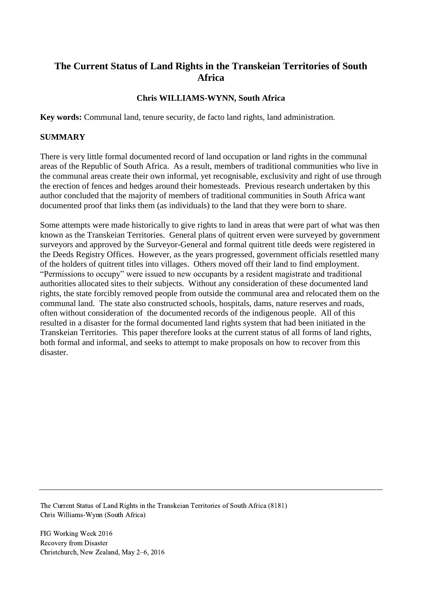# **The Current Status of Land Rights in the Transkeian Territories of South Africa**

### **Chris WILLIAMS-WYNN, South Africa**

**Key words:** Communal land, tenure security, de facto land rights, land administration.

### **SUMMARY**

There is very little formal documented record of land occupation or land rights in the communal areas of the Republic of South Africa. As a result, members of traditional communities who live in the communal areas create their own informal, yet recognisable, exclusivity and right of use through the erection of fences and hedges around their homesteads. Previous research undertaken by this author concluded that the majority of members of traditional communities in South Africa want documented proof that links them (as individuals) to the land that they were born to share.

Some attempts were made historically to give rights to land in areas that were part of what was then known as the Transkeian Territories. General plans of quitrent erven were surveyed by government surveyors and approved by the Surveyor-General and formal quitrent title deeds were registered in the Deeds Registry Offices. However, as the years progressed, government officials resettled many of the holders of quitrent titles into villages. Others moved off their land to find employment. "Permissions to occupy" were issued to new occupants by a resident magistrate and traditional authorities allocated sites to their subjects. Without any consideration of these documented land rights, the state forcibly removed people from outside the communal area and relocated them on the communal land. The state also constructed schools, hospitals, dams, nature reserves and roads, often without consideration of the documented records of the indigenous people. All of this resulted in a disaster for the formal documented land rights system that had been initiated in the Transkeian Territories. This paper therefore looks at the current status of all forms of land rights, both formal and informal, and seeks to attempt to make proposals on how to recover from this disaster.

The Current Status of Land Rights in the Transkeian Territories of South Africa (8181) Chris Williams-Wynn (South Africa)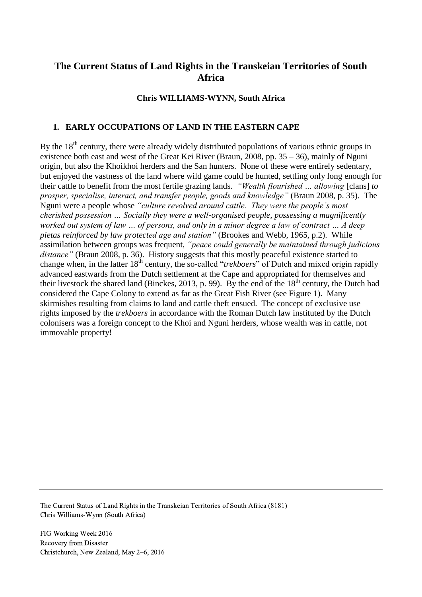# **The Current Status of Land Rights in the Transkeian Territories of South Africa**

### **Chris WILLIAMS-WYNN, South Africa**

### **1. EARLY OCCUPATIONS OF LAND IN THE EASTERN CAPE**

By the  $18<sup>th</sup>$  century, there were already widely distributed populations of various ethnic groups in existence both east and west of the Great Kei River (Braun, 2008, pp. 35 – 36), mainly of Nguni origin, but also the Khoikhoi herders and the San hunters. None of these were entirely sedentary, but enjoyed the vastness of the land where wild game could be hunted, settling only long enough for their cattle to benefit from the most fertile grazing lands. *"Wealth flourished … allowing* [clans] *to prosper, specialise, interact, and transfer people, goods and knowledge"* (Braun 2008, p. 35). The Nguni were a people whose *"culture revolved around cattle. They were the people's most cherished possession … Socially they were a well-organised people, possessing a magnificently worked out system of law … of persons, and only in a minor degree a law of contract … A deep pietas reinforced by law protected age and station"* (Brookes and Webb, 1965, p.2). While assimilation between groups was frequent, *"peace could generally be maintained through judicious*  distance" (Braun 2008, p. 36). History suggests that this mostly peaceful existence started to change when, in the latter 18th century, the so-called "*trekboers*" of Dutch and mixed origin rapidly advanced eastwards from the Dutch settlement at the Cape and appropriated for themselves and their livestock the shared land (Binckes, 2013, p. 99). By the end of the  $18<sup>th</sup>$  century, the Dutch had considered the Cape Colony to extend as far as the Great Fish River (see Figure 1). Many skirmishes resulting from claims to land and cattle theft ensued. The concept of exclusive use rights imposed by the *trekboers* in accordance with the Roman Dutch law instituted by the Dutch colonisers was a foreign concept to the Khoi and Nguni herders, whose wealth was in cattle, not immovable property!

The Current Status of Land Rights in the Transkeian Territories of South Africa (8181) Chris Williams-Wynn (South Africa)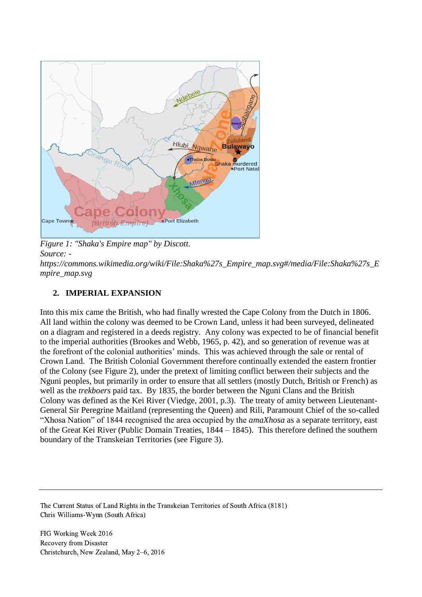

*Figure 1: "Shaka's Empire map" by Discott. Source: -*

*[https://commons.wikimedia.org/wiki/File:Shaka%27s\\_Empire\\_map.svg#/media/File:Shaka%27s\\_E](https://commons.wikimedia.org/wiki/File:Shaka%27s_Empire_map.svg#/media/File:Shaka%27s_Empire_map.svg) [mpire\\_map.svg](https://commons.wikimedia.org/wiki/File:Shaka%27s_Empire_map.svg#/media/File:Shaka%27s_Empire_map.svg)*

# **2. IMPERIAL EXPANSION**

Into this mix came the British, who had finally wrested the Cape Colony from the Dutch in 1806. All land within the colony was deemed to be Crown Land, unless it had been surveyed, delineated on a diagram and registered in a deeds registry. Any colony was expected to be of financial benefit to the imperial authorities (Brookes and Webb, 1965, p. 42), and so generation of revenue was at the forefront of the colonial authorities' minds. This was achieved through the sale or rental of Crown Land. The British Colonial Government therefore continually extended the eastern frontier of the Colony (see Figure 2), under the pretext of limiting conflict between their subjects and the Nguni peoples, but primarily in order to ensure that all settlers (mostly Dutch, British or French) as well as the *trekboers* paid tax. By 1835, the border between the Nguni Clans and the British Colony was defined as the Kei River (Viedge, 2001, p.3). The treaty of amity between Lieutenant-General Sir Peregrine Maitland (representing the Queen) and Rili, Paramount Chief of the so-called "Xhosa Nation" of 1844 recognised the area occupied by the *amaXhosa* as a separate territory, east of the Great Kei River (Public Domain Treaties, 1844 – 1845). This therefore defined the southern boundary of the Transkeian Territories (see Figure 3).

The Current Status of Land Rights in the Transkeian Territories of South Africa (8181) Chris Williams-Wynn (South Africa)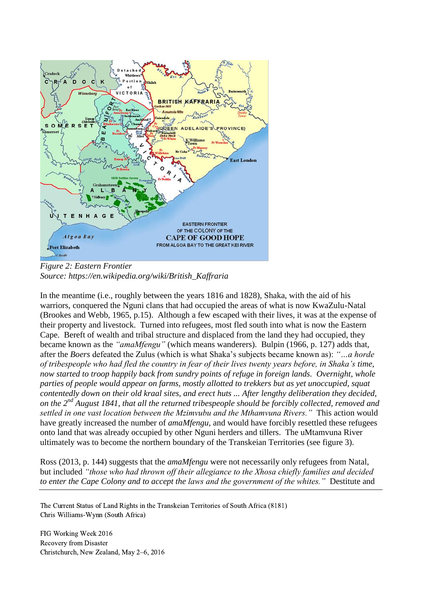

*Figure 2: Eastern Frontier Source: https://en.wikipedia.org/wiki/British\_Kaffraria*

In the meantime (i.e., roughly between the years 1816 and 1828), Shaka, with the aid of his warriors, conquered the Nguni clans that had occupied the areas of what is now KwaZulu-Natal (Brookes and Webb, 1965, p.15). Although a few escaped with their lives, it was at the expense of their property and livestock. Turned into refugees, most fled south into what is now the Eastern Cape. Bereft of wealth and tribal structure and displaced from the land they had occupied, they became known as the *"amaMfengu"* (which means wanderers). Bulpin (1966, p. 127) adds that, after the *Boers* defeated the Zulus (which is what Shaka's subjects became known as): *"…a horde of tribespeople who had fled the country in fear of their lives twenty years before, in Shaka's time, now started to troop happily back from sundry points of refuge in foreign lands. Overnight, whole parties of people would appear on farms, mostly allotted to trekkers but as yet unoccupied, squat contentedly down on their old kraal sites, and erect huts ... After lengthy deliberation they decided, on the 2nd August 1841, that all the returned tribespeople should be forcibly collected, removed and settled in one vast location between the Mzimvubu and the Mthamvuna Rivers."* This action would have greatly increased the number of *amaMfengu*, and would have forcibly resettled these refugees onto land that was already occupied by other Nguni herders and tillers. The uMtamvuna River ultimately was to become the northern boundary of the Transkeian Territories (see figure 3).

Ross (2013, p. 144) suggests that the *amaMfengu* were not necessarily only refugees from Natal, but included *"those who had thrown off their allegiance to the Xhosa chiefly families and decided to enter the Cape Colony and to accept the laws and the government of the whites."* Destitute and

The Current Status of Land Rights in the Transkeian Territories of South Africa (8181) Chris Williams-Wynn (South Africa)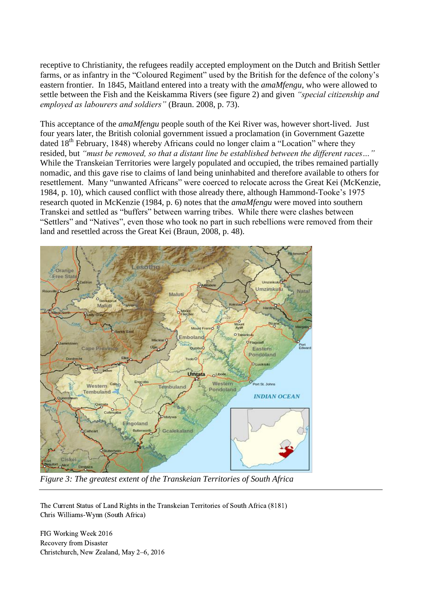receptive to Christianity, the refugees readily accepted employment on the Dutch and British Settler farms, or as infantry in the "Coloured Regiment" used by the British for the defence of the colony's eastern frontier. In 1845, Maitland entered into a treaty with the *amaMfengu*, who were allowed to settle between the Fish and the Keiskamma Rivers (see figure 2) and given *"special citizenship and employed as labourers and soldiers"* (Braun. 2008, p. 73).

This acceptance of the *amaMfengu* people south of the Kei River was, however short-lived. Just four years later, the British colonial government issued a proclamation (in Government Gazette dated 18<sup>th</sup> February, 1848) whereby Africans could no longer claim a "Location" where they resided, but *"must be removed, so that a distant line be established between the different races…"* While the Transkeian Territories were largely populated and occupied, the tribes remained partially nomadic, and this gave rise to claims of land being uninhabited and therefore available to others for resettlement. Many "unwanted Africans" were coerced to relocate across the Great Kei (McKenzie, 1984, p. 10), which caused conflict with those already there, although Hammond-Tooke's 1975 research quoted in McKenzie (1984, p. 6) notes that the *amaMfengu* were moved into southern Transkei and settled as "buffers" between warring tribes. While there were clashes between "Settlers" and "Natives", even those who took no part in such rebellions were removed from their land and resettled across the Great Kei (Braun, 2008, p. 48).



*Figure 3: The greatest extent of the Transkeian Territories of South Africa*

The Current Status of Land Rights in the Transkeian Territories of South Africa (8181) Chris Williams-Wynn (South Africa)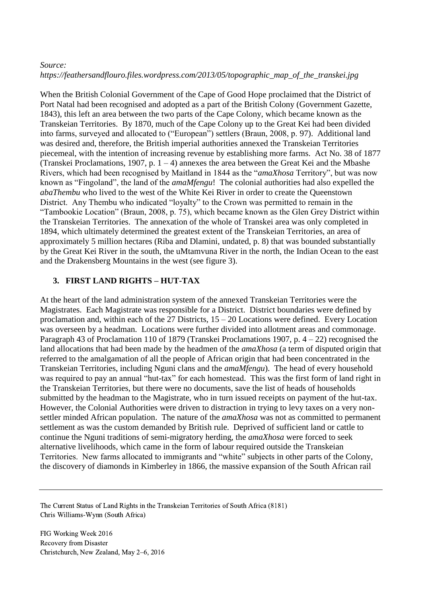#### *Source: https://feathersandflouro.files.wordpress.com/2013/05/topographic\_map\_of\_the\_transkei.jpg*

When the British Colonial Government of the Cape of Good Hope proclaimed that the District of Port Natal had been recognised and adopted as a part of the British Colony (Government Gazette, 1843), this left an area between the two parts of the Cape Colony, which became known as the Transkeian Territories. By 1870, much of the Cape Colony up to the Great Kei had been divided into farms, surveyed and allocated to ("European") settlers (Braun, 2008, p. 97). Additional land was desired and, therefore, the British imperial authorities annexed the Transkeian Territories piecemeal, with the intention of increasing revenue by establishing more farms. Act No. 38 of 1877 (Transkei Proclamations, 1907, p.  $1 - 4$ ) annexes the area between the Great Kei and the Mbashe Rivers, which had been recognised by Maitland in 1844 as the "*amaXhosa* Territory", but was now known as "Fingoland", the land of the *amaMfengu*! The colonial authorities had also expelled the *abaThembu* who lived to the west of the White Kei River in order to create the Queenstown District. Any Thembu who indicated "loyalty" to the Crown was permitted to remain in the "Tambookie Location" (Braun, 2008, p. 75), which became known as the Glen Grey District within the Transkeian Territories. The annexation of the whole of Transkei area was only completed in 1894, which ultimately determined the greatest extent of the Transkeian Territories, an area of approximately 5 million hectares (Riba and Dlamini, undated, p. 8) that was bounded substantially by the Great Kei River in the south, the uMtamvuna River in the north, the Indian Ocean to the east and the Drakensberg Mountains in the west (see figure 3).

# **3. FIRST LAND RIGHTS – HUT-TAX**

At the heart of the land administration system of the annexed Transkeian Territories were the Magistrates. Each Magistrate was responsible for a District. District boundaries were defined by proclamation and, within each of the 27 Districts, 15 – 20 Locations were defined. Every Location was overseen by a headman. Locations were further divided into allotment areas and commonage. Paragraph 43 of Proclamation 110 of 1879 (Transkei Proclamations 1907, p. 4 – 22) recognised the land allocations that had been made by the headmen of the *amaXhosa* (a term of disputed origin that referred to the amalgamation of all the people of African origin that had been concentrated in the Transkeian Territories, including Nguni clans and the *amaMfengu*). The head of every household was required to pay an annual "hut-tax" for each homestead. This was the first form of land right in the Transkeian Territories, but there were no documents, save the list of heads of households submitted by the headman to the Magistrate, who in turn issued receipts on payment of the hut-tax. However, the Colonial Authorities were driven to distraction in trying to levy taxes on a very nonsettler minded African population. The nature of the *amaXhosa* was not as committed to permanent settlement as was the custom demanded by British rule. Deprived of sufficient land or cattle to continue the Nguni traditions of semi-migratory herding, the *amaXhosa* were forced to seek alternative livelihoods, which came in the form of labour required outside the Transkeian Territories. New farms allocated to immigrants and "white" subjects in other parts of the Colony, the discovery of diamonds in Kimberley in 1866, the massive expansion of the South African rail

The Current Status of Land Rights in the Transkeian Territories of South Africa (8181) Chris Williams-Wynn (South Africa)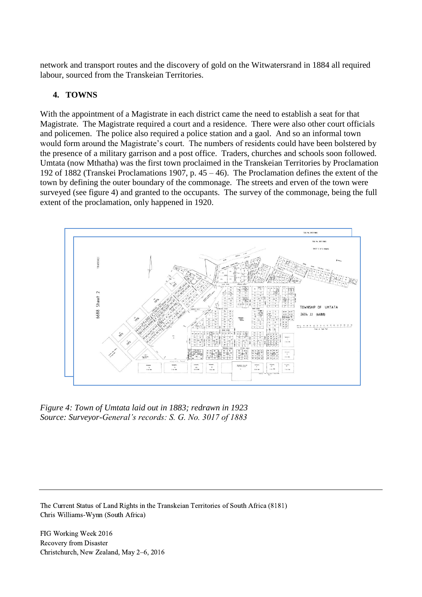network and transport routes and the discovery of gold on the Witwatersrand in 1884 all required labour, sourced from the Transkeian Territories.

#### **4. TOWNS**

With the appointment of a Magistrate in each district came the need to establish a seat for that Magistrate. The Magistrate required a court and a residence. There were also other court officials and policemen. The police also required a police station and a gaol. And so an informal town would form around the Magistrate's court. The numbers of residents could have been bolstered by the presence of a military garrison and a post office. Traders, churches and schools soon followed. Umtata (now Mthatha) was the first town proclaimed in the Transkeian Territories by Proclamation 192 of 1882 (Transkei Proclamations 1907, p. 45 – 46). The Proclamation defines the extent of the town by defining the outer boundary of the commonage. The streets and erven of the town were surveyed (see figure 4) and granted to the occupants. The survey of the commonage, being the full extent of the proclamation, only happened in 1920.



*Figure 4: Town of Umtata laid out in 1883; redrawn in 1923 Source: Surveyor-General's records: S. G. No. 3017 of 1883*

The Current Status of Land Rights in the Transkeian Territories of South Africa (8181) Chris Williams-Wynn (South Africa)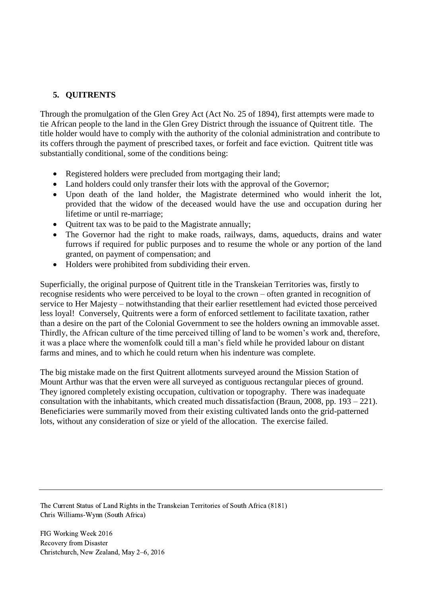### **5. QUITRENTS**

Through the promulgation of the Glen Grey Act (Act No. 25 of 1894), first attempts were made to tie African people to the land in the Glen Grey District through the issuance of Quitrent title. The title holder would have to comply with the authority of the colonial administration and contribute to its coffers through the payment of prescribed taxes, or forfeit and face eviction. Quitrent title was substantially conditional, some of the conditions being:

- Registered holders were precluded from mortgaging their land;
- Land holders could only transfer their lots with the approval of the Governor;
- Upon death of the land holder, the Magistrate determined who would inherit the lot, provided that the widow of the deceased would have the use and occupation during her lifetime or until re-marriage;
- Ouitrent tax was to be paid to the Magistrate annually;
- The Governor had the right to make roads, railways, dams, aqueducts, drains and water furrows if required for public purposes and to resume the whole or any portion of the land granted, on payment of compensation; and
- Holders were prohibited from subdividing their erven.

Superficially, the original purpose of Quitrent title in the Transkeian Territories was, firstly to recognise residents who were perceived to be loyal to the crown – often granted in recognition of service to Her Majesty – notwithstanding that their earlier resettlement had evicted those perceived less loyal! Conversely, Quitrents were a form of enforced settlement to facilitate taxation, rather than a desire on the part of the Colonial Government to see the holders owning an immovable asset. Thirdly, the African culture of the time perceived tilling of land to be women's work and, therefore, it was a place where the womenfolk could till a man's field while he provided labour on distant farms and mines, and to which he could return when his indenture was complete.

The big mistake made on the first Quitrent allotments surveyed around the Mission Station of Mount Arthur was that the erven were all surveyed as contiguous rectangular pieces of ground. They ignored completely existing occupation, cultivation or topography. There was inadequate consultation with the inhabitants, which created much dissatisfaction (Braun, 2008, pp. 193 – 221). Beneficiaries were summarily moved from their existing cultivated lands onto the grid-patterned lots, without any consideration of size or yield of the allocation. The exercise failed.

The Current Status of Land Rights in the Transkeian Territories of South Africa (8181) Chris Williams-Wynn (South Africa)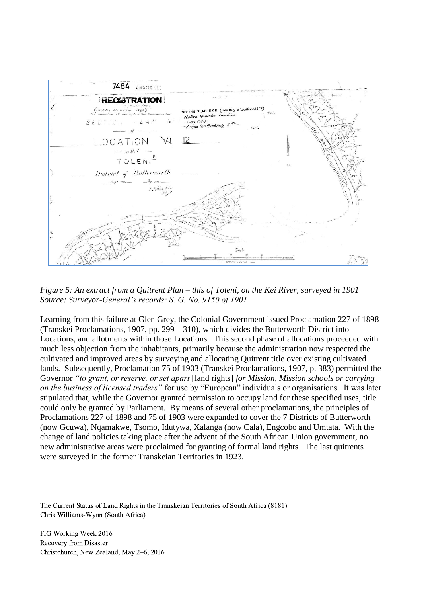

*Figure 5: An extract from a Quitrent Plan – this of Toleni, on the Kei River, surveyed in 1901 Source: Surveyor-General's records: S. G. No. 9150 of 1901*

Learning from this failure at Glen Grey, the Colonial Government issued Proclamation 227 of 1898 (Transkei Proclamations, 1907, pp. 299 – 310), which divides the Butterworth District into Locations, and allotments within those Locations. This second phase of allocations proceeded with much less objection from the inhabitants, primarily because the administration now respected the cultivated and improved areas by surveying and allocating Quitrent title over existing cultivated lands. Subsequently, Proclamation 75 of 1903 (Transkei Proclamations, 1907, p. 383) permitted the Governor *"to grant, or reserve, or set apart* [land rights] *for Mission, Mission schools or carrying on the business of licensed traders"* for use by "European" individuals or organisations. It was later stipulated that, while the Governor granted permission to occupy land for these specified uses, title could only be granted by Parliament. By means of several other proclamations, the principles of Proclamations 227 of 1898 and 75 of 1903 were expanded to cover the 7 Districts of Butterworth (now Gcuwa), Nqamakwe, Tsomo, Idutywa, Xalanga (now Cala), Engcobo and Umtata. With the change of land policies taking place after the advent of the South African Union government, no new administrative areas were proclaimed for granting of formal land rights. The last quitrents were surveyed in the former Transkeian Territories in 1923.

The Current Status of Land Rights in the Transkeian Territories of South Africa (8181) Chris Williams-Wynn (South Africa)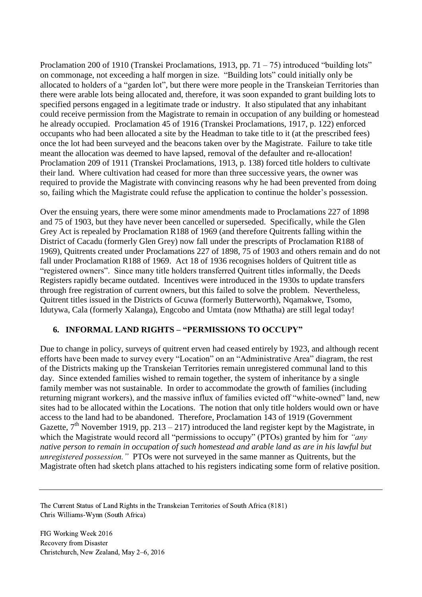Proclamation 200 of 1910 (Transkei Proclamations, 1913, pp.  $71 - 75$ ) introduced "building lots" on commonage, not exceeding a half morgen in size. "Building lots" could initially only be allocated to holders of a "garden lot", but there were more people in the Transkeian Territories than there were arable lots being allocated and, therefore, it was soon expanded to grant building lots to specified persons engaged in a legitimate trade or industry. It also stipulated that any inhabitant could receive permission from the Magistrate to remain in occupation of any building or homestead he already occupied. Proclamation 45 of 1916 (Transkei Proclamations, 1917, p. 122) enforced occupants who had been allocated a site by the Headman to take title to it (at the prescribed fees) once the lot had been surveyed and the beacons taken over by the Magistrate. Failure to take title meant the allocation was deemed to have lapsed, removal of the defaulter and re-allocation! Proclamation 209 of 1911 (Transkei Proclamations, 1913, p. 138) forced title holders to cultivate their land. Where cultivation had ceased for more than three successive years, the owner was required to provide the Magistrate with convincing reasons why he had been prevented from doing so, failing which the Magistrate could refuse the application to continue the holder's possession.

Over the ensuing years, there were some minor amendments made to Proclamations 227 of 1898 and 75 of 1903, but they have never been cancelled or superseded. Specifically, while the Glen Grey Act is repealed by Proclamation R188 of 1969 (and therefore Quitrents falling within the District of Cacadu (formerly Glen Grey) now fall under the prescripts of Proclamation R188 of 1969), Quitrents created under Proclamations 227 of 1898, 75 of 1903 and others remain and do not fall under Proclamation R188 of 1969. Act 18 of 1936 recognises holders of Quitrent title as "registered owners". Since many title holders transferred Quitrent titles informally, the Deeds Registers rapidly became outdated. Incentives were introduced in the 1930s to update transfers through free registration of current owners, but this failed to solve the problem. Nevertheless, Quitrent titles issued in the Districts of Gcuwa (formerly Butterworth), Nqamakwe, Tsomo, Idutywa, Cala (formerly Xalanga), Engcobo and Umtata (now Mthatha) are still legal today!

### **6. INFORMAL LAND RIGHTS – "PERMISSIONS TO OCCUPY"**

Due to change in policy, surveys of quitrent erven had ceased entirely by 1923, and although recent efforts have been made to survey every "Location" on an "Administrative Area" diagram, the rest of the Districts making up the Transkeian Territories remain unregistered communal land to this day. Since extended families wished to remain together, the system of inheritance by a single family member was not sustainable. In order to accommodate the growth of families (including returning migrant workers), and the massive influx of families evicted off "white-owned" land, new sites had to be allocated within the Locations. The notion that only title holders would own or have access to the land had to be abandoned. Therefore, Proclamation 143 of 1919 (Government Gazette,  $7<sup>th</sup>$  November 1919, pp. 213 – 217) introduced the land register kept by the Magistrate, in which the Magistrate would record all "permissions to occupy" (PTOs) granted by him for *"any native person to remain in occupation of such homestead and arable land as are in his lawful but unregistered possession."* PTOs were not surveyed in the same manner as Quitrents, but the Magistrate often had sketch plans attached to his registers indicating some form of relative position.

The Current Status of Land Rights in the Transkeian Territories of South Africa (8181) Chris Williams-Wynn (South Africa)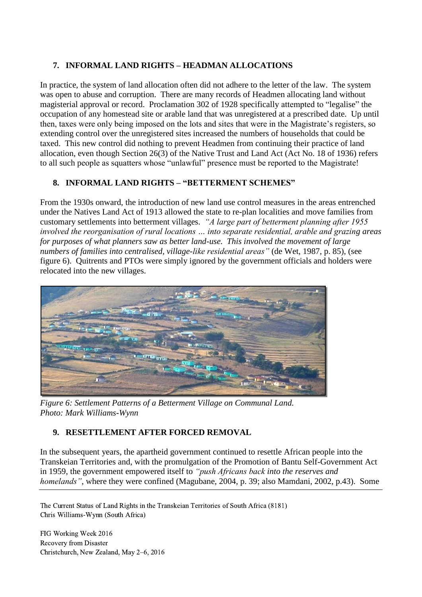# **7. INFORMAL LAND RIGHTS – HEADMAN ALLOCATIONS**

In practice, the system of land allocation often did not adhere to the letter of the law. The system was open to abuse and corruption. There are many records of Headmen allocating land without magisterial approval or record. Proclamation 302 of 1928 specifically attempted to "legalise" the occupation of any homestead site or arable land that was unregistered at a prescribed date. Up until then, taxes were only being imposed on the lots and sites that were in the Magistrate's registers, so extending control over the unregistered sites increased the numbers of households that could be taxed. This new control did nothing to prevent Headmen from continuing their practice of land allocation, even though Section 26(3) of the Native Trust and Land Act (Act No. 18 of 1936) refers to all such people as squatters whose "unlawful" presence must be reported to the Magistrate!

# **8. INFORMAL LAND RIGHTS – "BETTERMENT SCHEMES"**

From the 1930s onward, the introduction of new land use control measures in the areas entrenched under the Natives Land Act of 1913 allowed the state to re-plan localities and move families from customary settlements into betterment villages. *"A large part of betterment planning after 1955 involved the reorganisation of rural locations … into separate residential, arable and grazing areas for purposes of what planners saw as better land-use. This involved the movement of large numbers of families into centralised, village-like residential areas"* (de Wet, 1987, p. 85), (see figure 6). Quitrents and PTOs were simply ignored by the government officials and holders were relocated into the new villages.



*Figure 6: Settlement Patterns of a Betterment Village on Communal Land. Photo: Mark Williams-Wynn*

# **9. RESETTLEMENT AFTER FORCED REMOVAL**

In the subsequent years, the apartheid government continued to resettle African people into the Transkeian Territories and, with the promulgation of the Promotion of Bantu Self-Government Act in 1959, the government empowered itself to *"push Africans back into the reserves and homelands"*, where they were confined (Magubane, 2004, p. 39; also Mamdani, 2002, p.43). Some

The Current Status of Land Rights in the Transkeian Territories of South Africa (8181) Chris Williams-Wynn (South Africa)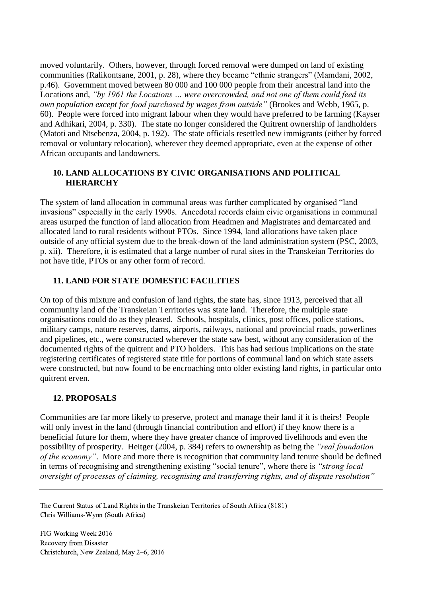moved voluntarily. Others, however, through forced removal were dumped on land of existing communities (Ralikontsane, 2001, p. 28), where they became "ethnic strangers" (Mamdani, 2002, p.46). Government moved between 80 000 and 100 000 people from their ancestral land into the Locations and, *"by 1961 the Locations … were overcrowded, and not one of them could feed its own population except for food purchased by wages from outside"* (Brookes and Webb, 1965, p. 60). People were forced into migrant labour when they would have preferred to be farming (Kayser and Adhikari, 2004, p. 330). The state no longer considered the Quitrent ownership of landholders (Matoti and Ntsebenza, 2004, p. 192). The state officials resettled new immigrants (either by forced removal or voluntary relocation), wherever they deemed appropriate, even at the expense of other African occupants and landowners.

### **10. LAND ALLOCATIONS BY CIVIC ORGANISATIONS AND POLITICAL HIERARCHY**

The system of land allocation in communal areas was further complicated by organised "land invasions" especially in the early 1990s. Anecdotal records claim civic organisations in communal areas usurped the function of land allocation from Headmen and Magistrates and demarcated and allocated land to rural residents without PTOs. Since 1994, land allocations have taken place outside of any official system due to the break-down of the land administration system (PSC, 2003, p. xii). Therefore, it is estimated that a large number of rural sites in the Transkeian Territories do not have title, PTOs or any other form of record.

### **11. LAND FOR STATE DOMESTIC FACILITIES**

On top of this mixture and confusion of land rights, the state has, since 1913, perceived that all community land of the Transkeian Territories was state land. Therefore, the multiple state organisations could do as they pleased. Schools, hospitals, clinics, post offices, police stations, military camps, nature reserves, dams, airports, railways, national and provincial roads, powerlines and pipelines, etc., were constructed wherever the state saw best, without any consideration of the documented rights of the quitrent and PTO holders. This has had serious implications on the state registering certificates of registered state title for portions of communal land on which state assets were constructed, but now found to be encroaching onto older existing land rights, in particular onto quitrent erven.

### **12. PROPOSALS**

Communities are far more likely to preserve, protect and manage their land if it is theirs! People will only invest in the land (through financial contribution and effort) if they know there is a beneficial future for them, where they have greater chance of improved livelihoods and even the possibility of prosperity. Heitger (2004, p. 384) refers to ownership as being the *"real foundation of the economy"*. More and more there is recognition that community land tenure should be defined in terms of recognising and strengthening existing "social tenure", where there is *"strong local oversight of processes of claiming, recognising and transferring rights, and of dispute resolution"*

The Current Status of Land Rights in the Transkeian Territories of South Africa (8181) Chris Williams-Wynn (South Africa)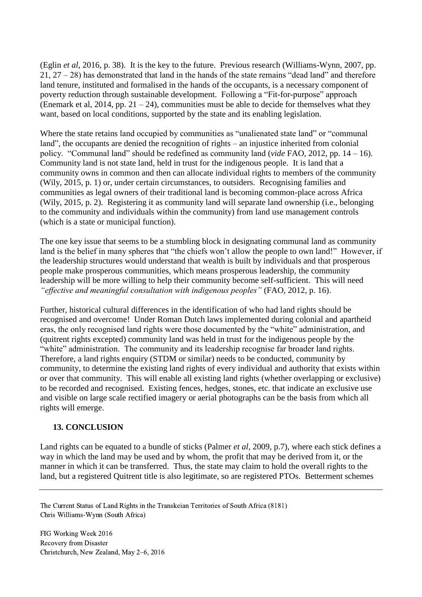(Eglin *et al*, 2016, p. 38). It is the key to the future. Previous research (Williams-Wynn, 2007, pp. 21, 27 – 28) has demonstrated that land in the hands of the state remains "dead land" and therefore land tenure, instituted and formalised in the hands of the occupants, is a necessary component of poverty reduction through sustainable development. Following a "Fit-for-purpose" approach (Enemark et al, 2014, pp. 21 – 24), communities must be able to decide for themselves what they want, based on local conditions, supported by the state and its enabling legislation.

Where the state retains land occupied by communities as "unalienated state land" or "communal land", the occupants are denied the recognition of rights – an injustice inherited from colonial policy. "Communal land" should be redefined as community land (*vide* FAO, 2012, pp. 14 – 16). Community land is not state land, held in trust for the indigenous people. It is land that a community owns in common and then can allocate individual rights to members of the community (Wily, 2015, p. 1) or, under certain circumstances, to outsiders. Recognising families and communities as legal owners of their traditional land is becoming common-place across Africa (Wily, 2015, p. 2). Registering it as community land will separate land ownership (i.e., belonging to the community and individuals within the community) from land use management controls (which is a state or municipal function).

The one key issue that seems to be a stumbling block in designating communal land as community land is the belief in many spheres that "the chiefs won't allow the people to own land!" However, if the leadership structures would understand that wealth is built by individuals and that prosperous people make prosperous communities, which means prosperous leadership, the community leadership will be more willing to help their community become self-sufficient. This will need *"effective and meaningful consultation with indigenous peoples"* (FAO, 2012, p. 16).

Further, historical cultural differences in the identification of who had land rights should be recognised and overcome! Under Roman Dutch laws implemented during colonial and apartheid eras, the only recognised land rights were those documented by the "white" administration, and (quitrent rights excepted) community land was held in trust for the indigenous people by the "white" administration. The community and its leadership recognise far broader land rights. Therefore, a land rights enquiry (STDM or similar) needs to be conducted, community by community, to determine the existing land rights of every individual and authority that exists within or over that community. This will enable all existing land rights (whether overlapping or exclusive) to be recorded and recognised. Existing fences, hedges, stones, etc. that indicate an exclusive use and visible on large scale rectified imagery or aerial photographs can be the basis from which all rights will emerge.

### **13. CONCLUSION**

Land rights can be equated to a bundle of sticks (Palmer *et al*, 2009, p.7), where each stick defines a way in which the land may be used and by whom, the profit that may be derived from it, or the manner in which it can be transferred. Thus, the state may claim to hold the overall rights to the land, but a registered Quitrent title is also legitimate, so are registered PTOs. Betterment schemes

The Current Status of Land Rights in the Transkeian Territories of South Africa (8181) Chris Williams-Wynn (South Africa)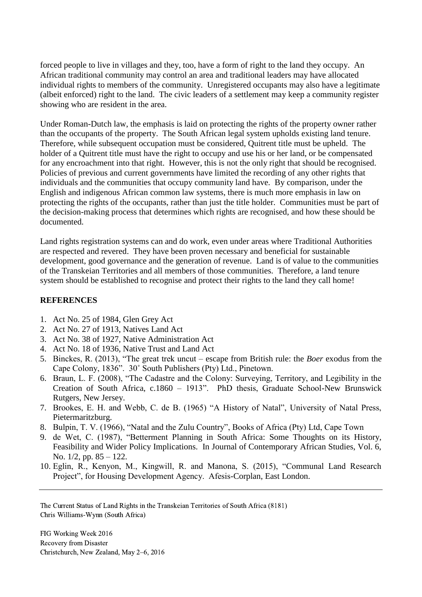forced people to live in villages and they, too, have a form of right to the land they occupy. An African traditional community may control an area and traditional leaders may have allocated individual rights to members of the community. Unregistered occupants may also have a legitimate (albeit enforced) right to the land. The civic leaders of a settlement may keep a community register showing who are resident in the area.

Under Roman-Dutch law, the emphasis is laid on protecting the rights of the property owner rather than the occupants of the property. The South African legal system upholds existing land tenure. Therefore, while subsequent occupation must be considered, Quitrent title must be upheld. The holder of a Quitrent title must have the right to occupy and use his or her land, or be compensated for any encroachment into that right. However, this is not the only right that should be recognised. Policies of previous and current governments have limited the recording of any other rights that individuals and the communities that occupy community land have. By comparison, under the English and indigenous African common law systems, there is much more emphasis in law on protecting the rights of the occupants, rather than just the title holder. Communities must be part of the decision-making process that determines which rights are recognised, and how these should be documented.

Land rights registration systems can and do work, even under areas where Traditional Authorities are respected and revered. They have been proven necessary and beneficial for sustainable development, good governance and the generation of revenue. Land is of value to the communities of the Transkeian Territories and all members of those communities. Therefore, a land tenure system should be established to recognise and protect their rights to the land they call home!

### **REFERENCES**

- 1. Act No. 25 of 1984, Glen Grey Act
- 2. Act No. 27 of 1913, Natives Land Act
- 3. Act No. 38 of 1927, Native Administration Act
- 4. Act No. 18 of 1936, Native Trust and Land Act
- 5. Binckes, R. (2013), "The great trek uncut escape from British rule: the *Boer* exodus from the Cape Colony, 1836". 30˚ South Publishers (Pty) Ltd., Pinetown.
- 6. Braun, L. F. (2008), "The Cadastre and the Colony: Surveying, Territory, and Legibility in the Creation of South Africa, c.1860 – 1913". PhD thesis, Graduate School-New Brunswick Rutgers, New Jersey.
- 7. Brookes, E. H. and Webb, C. de B. (1965) "A History of Natal", University of Natal Press, Pietermaritzburg.
- 8. Bulpin, T. V. (1966), "Natal and the Zulu Country", Books of Africa (Pty) Ltd, Cape Town
- 9. de Wet, C. (1987), "Betterment Planning in South Africa: Some Thoughts on its History, Feasibility and Wider Policy Implications. In Journal of Contemporary African Studies, Vol. 6, No. 1/2, pp. 85 – 122.
- 10. Eglin, R., Kenyon, M., Kingwill, R. and Manona, S. (2015), "Communal Land Research Project", for Housing Development Agency. Afesis-Corplan, East London.

The Current Status of Land Rights in the Transkeian Territories of South Africa (8181) Chris Williams-Wynn (South Africa)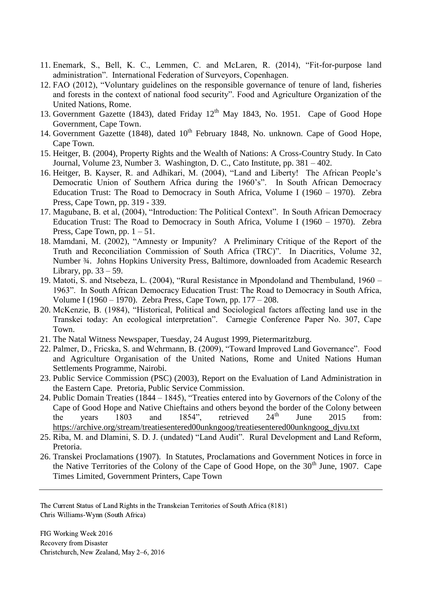- 11. Enemark, S., Bell, K. C., Lemmen, C. and McLaren, R. (2014), "Fit-for-purpose land administration". International Federation of Surveyors, Copenhagen.
- 12. FAO (2012), "Voluntary guidelines on the responsible governance of tenure of land, fisheries and forests in the context of national food security". Food and Agriculture Organization of the United Nations, Rome.
- 13. Government Gazette (1843), dated Friday 12<sup>th</sup> May 1843, No. 1951. Cape of Good Hope Government, Cape Town.
- 14. Government Gazette (1848), dated 10<sup>th</sup> February 1848, No. unknown. Cape of Good Hope, Cape Town.
- 15. Heitger, B. (2004), Property Rights and the Wealth of Nations: A Cross-Country Study. In Cato Journal, Volume 23, Number 3. Washington, D. C., Cato Institute, pp. 381 – 402.
- 16. Heitger, B. Kayser, R. and Adhikari, M. (2004), "Land and Liberty! The African People's Democratic Union of Southern Africa during the 1960's". In South African Democracy Education Trust: The Road to Democracy in South Africa, Volume I (1960 – 1970). Zebra Press, Cape Town, pp. 319 - 339.
- 17. Magubane, B. et al, (2004), "Introduction: The Political Context". In South African Democracy Education Trust: The Road to Democracy in South Africa, Volume I (1960 – 1970). Zebra Press, Cape Town, pp.  $1 - 51$ .
- 18. Mamdani, M. (2002), "Amnesty or Impunity? A Preliminary Critique of the Report of the Truth and Reconciliation Commission of South Africa (TRC)". In Diacritics, Volume 32, Number ¾. Johns Hopkins University Press, Baltimore, downloaded from Academic Research Library, pp.  $33 - 59$ .
- 19. Matoti, S. and Ntsebeza, L. (2004), "Rural Resistance in Mpondoland and Thembuland, 1960 1963". In South African Democracy Education Trust: The Road to Democracy in South Africa, Volume I (1960 – 1970). Zebra Press, Cape Town, pp. 177 – 208.
- 20. McKenzie, B. (1984), "Historical, Political and Sociological factors affecting land use in the Transkei today: An ecological interpretation". Carnegie Conference Paper No. 307, Cape Town.
- 21. The Natal Witness Newspaper, Tuesday, 24 August 1999, Pietermaritzburg.
- 22. Palmer, D., Fricska, S. and Wehrmann, B. (2009), "Toward Improved Land Governance". Food and Agriculture Organisation of the United Nations, Rome and United Nations Human Settlements Programme, Nairobi.
- 23. Public Service Commission (PSC) (2003), Report on the Evaluation of Land Administration in the Eastern Cape. Pretoria, Public Service Commission.
- 24. Public Domain Treaties (1844 1845), "Treaties entered into by Governors of the Colony of the Cape of Good Hope and Native Chieftains and others beyond the border of the Colony between<br>the vears  $1803$  and  $1854$ " retrieved  $24<sup>th</sup>$  June  $2015$  from: the years  $1803$  and  $1854$ ", retrieved  $24<sup>th</sup>$  June  $2015$  from: [https://archive.org/stream/treatiesentered00unkngoog/treatiesentered00unkngoog\\_djvu.txt](https://archive.org/stream/treatiesentered00unkngoog/treatiesentered00unkngoog_djvu.txt)
- 25. Riba, M. and Dlamini, S. D. J. (undated) "Land Audit". Rural Development and Land Reform, Pretoria.
- 26. Transkei Proclamations (1907). In Statutes, Proclamations and Government Notices in force in the Native Territories of the Colony of the Cape of Good Hope, on the  $30<sup>th</sup>$  June, 1907. Cape Times Limited, Government Printers, Cape Town

The Current Status of Land Rights in the Transkeian Territories of South Africa (8181) Chris Williams-Wynn (South Africa)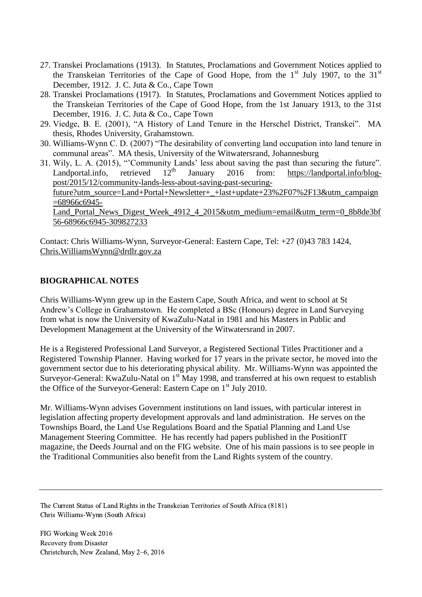- 27. Transkei Proclamations (1913). In Statutes, Proclamations and Government Notices applied to the Transkeian Territories of the Cape of Good Hope, from the  $1<sup>st</sup>$  July 1907, to the 31 $<sup>st</sup>$ </sup> December, 1912. J. C. Juta & Co., Cape Town
- 28. Transkei Proclamations (1917). In Statutes, Proclamations and Government Notices applied to the Transkeian Territories of the Cape of Good Hope, from the 1st January 1913, to the 31st December, 1916. J. C. Juta & Co., Cape Town
- 29. Viedge, B. E. (2001), "A History of Land Tenure in the Herschel District, Transkei". MA thesis, Rhodes University, Grahamstown.
- 30. Williams-Wynn C. D. (2007) "The desirability of converting land occupation into land tenure in communal areas". MA thesis, University of the Witwatersrand, Johannesburg
- 31. Wily, L. A. (2015), "Community Lands' less about saving the past than securing the future".<br>Landportal info. retrieved  $12<sup>th</sup>$  January 2016 from: https://landportal info/blog-Landportal.info, retrieved  $12<sup>th</sup>$  January 2016 from: [https://landportal.info/blog](https://landportal.info/blog-post/2015/12/community-lands-less-about-saving-past-securing-future?utm_source=Land+Portal+Newsletter+_+last+update+23%2F07%2F13&utm_campaign=68966c6945-Land_Portal_News_Digest_Week_4912_4_2015&utm_medium=email&utm_term=0_8b8de3bf56-68966c6945-309827233)[post/2015/12/community-lands-less-about-saving-past-securing](https://landportal.info/blog-post/2015/12/community-lands-less-about-saving-past-securing-future?utm_source=Land+Portal+Newsletter+_+last+update+23%2F07%2F13&utm_campaign=68966c6945-Land_Portal_News_Digest_Week_4912_4_2015&utm_medium=email&utm_term=0_8b8de3bf56-68966c6945-309827233)[future?utm\\_source=Land+Portal+Newsletter+\\_+last+update+23%2F07%2F13&utm\\_campaign](https://landportal.info/blog-post/2015/12/community-lands-less-about-saving-past-securing-future?utm_source=Land+Portal+Newsletter+_+last+update+23%2F07%2F13&utm_campaign=68966c6945-Land_Portal_News_Digest_Week_4912_4_2015&utm_medium=email&utm_term=0_8b8de3bf56-68966c6945-309827233) [=68966c6945-](https://landportal.info/blog-post/2015/12/community-lands-less-about-saving-past-securing-future?utm_source=Land+Portal+Newsletter+_+last+update+23%2F07%2F13&utm_campaign=68966c6945-Land_Portal_News_Digest_Week_4912_4_2015&utm_medium=email&utm_term=0_8b8de3bf56-68966c6945-309827233) [Land\\_Portal\\_News\\_Digest\\_Week\\_4912\\_4\\_2015&utm\\_medium=email&utm\\_term=0\\_8b8de3bf](https://landportal.info/blog-post/2015/12/community-lands-less-about-saving-past-securing-future?utm_source=Land+Portal+Newsletter+_+last+update+23%2F07%2F13&utm_campaign=68966c6945-Land_Portal_News_Digest_Week_4912_4_2015&utm_medium=email&utm_term=0_8b8de3bf56-68966c6945-309827233) [56-68966c6945-309827233](https://landportal.info/blog-post/2015/12/community-lands-less-about-saving-past-securing-future?utm_source=Land+Portal+Newsletter+_+last+update+23%2F07%2F13&utm_campaign=68966c6945-Land_Portal_News_Digest_Week_4912_4_2015&utm_medium=email&utm_term=0_8b8de3bf56-68966c6945-309827233)

Contact: Chris Williams-Wynn, Surveyor-General: Eastern Cape, Tel: +27 (0)43 783 1424, [Chris.WilliamsWynn@drdlr.gov.za](mailto:Chris.WilliamsWynn@drdlr.gov.za)

### **BIOGRAPHICAL NOTES**

Chris Williams-Wynn grew up in the Eastern Cape, South Africa, and went to school at St Andrew's College in Grahamstown. He completed a BSc (Honours) degree in Land Surveying from what is now the University of KwaZulu-Natal in 1981 and his Masters in Public and Development Management at the University of the Witwatersrand in 2007.

He is a Registered Professional Land Surveyor, a Registered Sectional Titles Practitioner and a Registered Township Planner. Having worked for 17 years in the private sector, he moved into the government sector due to his deteriorating physical ability. Mr. Williams-Wynn was appointed the Surveyor-General: KwaZulu-Natal on 1<sup>st</sup> May 1998, and transferred at his own request to establish the Office of the Surveyor-General: Eastern Cape on  $1<sup>st</sup>$  July 2010.

Mr. Williams-Wynn advises Government institutions on land issues, with particular interest in legislation affecting property development approvals and land administration. He serves on the Townships Board, the Land Use Regulations Board and the Spatial Planning and Land Use Management Steering Committee. He has recently had papers published in the PositionIT magazine, the Deeds Journal and on the FIG website. One of his main passions is to see people in the Traditional Communities also benefit from the Land Rights system of the country.

The Current Status of Land Rights in the Transkeian Territories of South Africa (8181) Chris Williams-Wynn (South Africa)